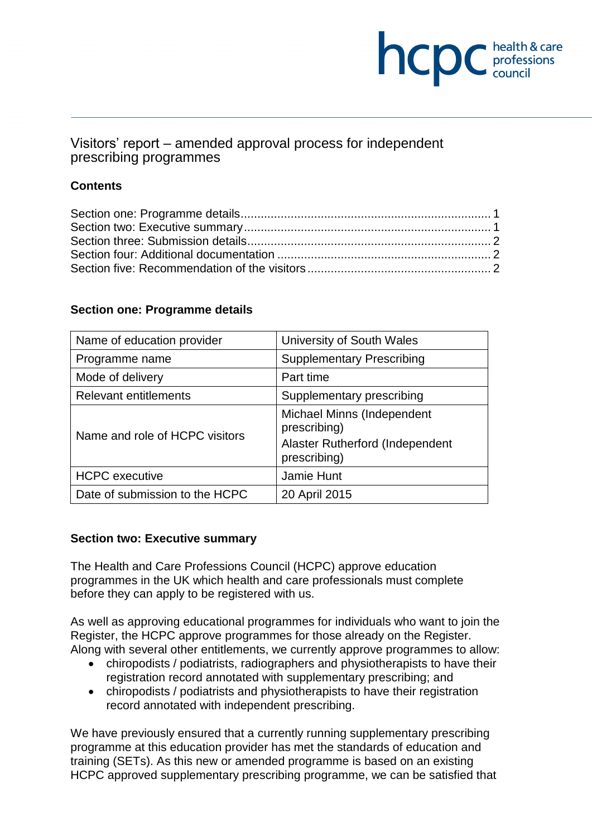# **NCDC** health & care

## Visitors' report – amended approval process for independent prescribing programmes

### **Contents**

#### **Section one: Programme details**

| Name of education provider     | University of South Wales                                                                     |
|--------------------------------|-----------------------------------------------------------------------------------------------|
| Programme name                 | <b>Supplementary Prescribing</b>                                                              |
| Mode of delivery               | Part time                                                                                     |
| <b>Relevant entitlements</b>   | Supplementary prescribing                                                                     |
| Name and role of HCPC visitors | Michael Minns (Independent<br>prescribing)<br>Alaster Rutherford (Independent<br>prescribing) |
| <b>HCPC</b> executive          | Jamie Hunt                                                                                    |
| Date of submission to the HCPC | 20 April 2015                                                                                 |

#### **Section two: Executive summary**

The Health and Care Professions Council (HCPC) approve education programmes in the UK which health and care professionals must complete before they can apply to be registered with us.

As well as approving educational programmes for individuals who want to join the Register, the HCPC approve programmes for those already on the Register. Along with several other entitlements, we currently approve programmes to allow:

- chiropodists / podiatrists, radiographers and physiotherapists to have their registration record annotated with supplementary prescribing; and
- chiropodists / podiatrists and physiotherapists to have their registration record annotated with independent prescribing.

We have previously ensured that a currently running supplementary prescribing programme at this education provider has met the standards of education and training (SETs). As this new or amended programme is based on an existing HCPC approved supplementary prescribing programme, we can be satisfied that